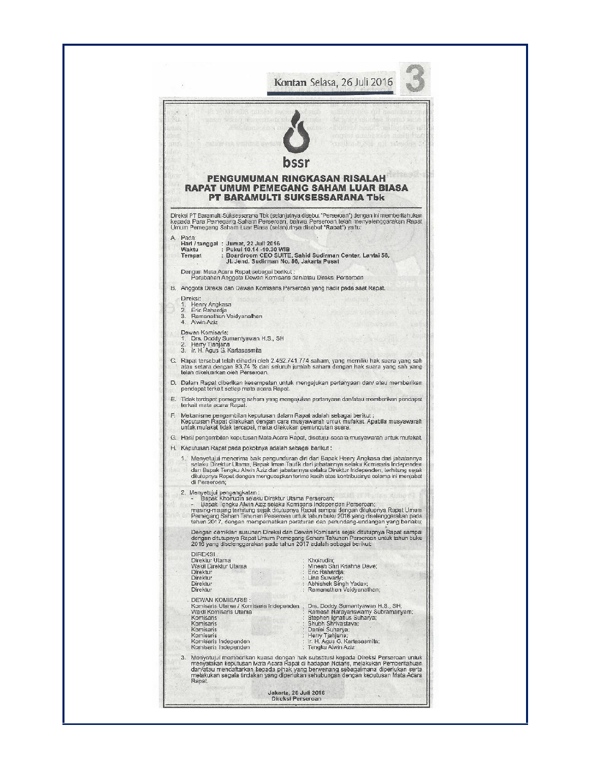|    |                                                                                                                                                                                                                                                                                                                                                                                                                                                   |                                                                  | bssr                                                                                                                                                                                                                                                                                                                                                                            |  |  |  |  |
|----|---------------------------------------------------------------------------------------------------------------------------------------------------------------------------------------------------------------------------------------------------------------------------------------------------------------------------------------------------------------------------------------------------------------------------------------------------|------------------------------------------------------------------|---------------------------------------------------------------------------------------------------------------------------------------------------------------------------------------------------------------------------------------------------------------------------------------------------------------------------------------------------------------------------------|--|--|--|--|
|    |                                                                                                                                                                                                                                                                                                                                                                                                                                                   |                                                                  | PENGUMUMAN RINGKASAN RISAL<br><b>RAPAT UMUM PEMEGANG SAHAM LUAR BIASA</b><br>PT BARAMULTI SUKSESSARANA Tbk                                                                                                                                                                                                                                                                      |  |  |  |  |
|    |                                                                                                                                                                                                                                                                                                                                                                                                                                                   |                                                                  | Direksi PT Baramulti Suksessarana Tbk (selanjutnya disebut "Perseroan") dengan ini memberitahukan<br>kepada Para Pemegang Saham Perseroan, bahwa Perseroan telah menyelenggarakan Rapat<br>Umum Pemegang Saham Luar Blasa (selanjutnya disebut "Rapat") yaitu:                                                                                                                  |  |  |  |  |
|    | A. Pada:<br>Waktu<br>Tempat                                                                                                                                                                                                                                                                                                                                                                                                                       | Harl / tanggal : Jumat, 22 Juli 2016<br>: Pukul 10.14 -10.30 WIB | : Boardroom CEO SUITE, Sahid Sudirman Center, Lantai 56,<br>Jl. Jend. Sudirman No. 86, Jakarta Pusat                                                                                                                                                                                                                                                                            |  |  |  |  |
|    |                                                                                                                                                                                                                                                                                                                                                                                                                                                   | Dengan Mata Acara Rapat sebagai berikut :                        |                                                                                                                                                                                                                                                                                                                                                                                 |  |  |  |  |
|    |                                                                                                                                                                                                                                                                                                                                                                                                                                                   |                                                                  | Perubahan Anggota Dewan Komisaris dan/atau Direksi Perseroan<br>B. Anggota Direksi dan Dewan Komisaris Perseroan yang hadir pada saat Rapat.                                                                                                                                                                                                                                    |  |  |  |  |
|    | Direksi:<br>1. Henry Angkasa<br>2. Eric Rahardja                                                                                                                                                                                                                                                                                                                                                                                                  |                                                                  |                                                                                                                                                                                                                                                                                                                                                                                 |  |  |  |  |
|    | 3. Ramanathan Vaidvanathan<br>4. Alwin Aziz                                                                                                                                                                                                                                                                                                                                                                                                       |                                                                  |                                                                                                                                                                                                                                                                                                                                                                                 |  |  |  |  |
|    | Dawan Komisaris:<br>1.<br>2. Herry Tjahjana                                                                                                                                                                                                                                                                                                                                                                                                       | Drs. Doddy Sumantyawan H.S., SH                                  |                                                                                                                                                                                                                                                                                                                                                                                 |  |  |  |  |
|    | 3. Ir. H. Agus G. Kartasasmita<br>C. Rapat tersebut telah dihadiri oleh 2.452.741.774 saham, yang memiliki hak suara yang sah<br>atau setara dengan 93,74 % dari seluruh jumlah saham dengan hak suara yang sah yang<br>telah dikeluarkan oleh Perseroan.                                                                                                                                                                                         |                                                                  |                                                                                                                                                                                                                                                                                                                                                                                 |  |  |  |  |
|    |                                                                                                                                                                                                                                                                                                                                                                                                                                                   |                                                                  | D. Dalam Rapat diberikan kesempatan untuk mengajukan pertanyaan dan/ atau memberikan                                                                                                                                                                                                                                                                                            |  |  |  |  |
|    | pendapat terkait setiap mata acara Rapat.<br>E. Tidak terdapat pemegang saham yang mengajukan pertanyaan dan/atau memberikan pendapat<br>terkait mata acara Rapat.                                                                                                                                                                                                                                                                                |                                                                  |                                                                                                                                                                                                                                                                                                                                                                                 |  |  |  |  |
| F. | Mekanisme pengambilan keputusan dalam Rapat adalah sebagai berikut :<br>Keputusan Rapat dilakukan dengan cara musyawarah untuk mufakat. Apabila musyawarah<br>untuk mufakat tidak tercapai, maka dilakukan pemungutan suara.                                                                                                                                                                                                                      |                                                                  |                                                                                                                                                                                                                                                                                                                                                                                 |  |  |  |  |
|    |                                                                                                                                                                                                                                                                                                                                                                                                                                                   |                                                                  | G. Hasil pengambilan keputusan Mata Acara Rapat, disetujui secara musyawarah untuk mufakat.                                                                                                                                                                                                                                                                                     |  |  |  |  |
|    | H. Keputusan Rapat pada pokoknya adalah sebagai berikut:<br>1. Menyetujui menerima baik pengunduran diri dari Bapak Henry Angkasa dari jabatannya.<br>selaku Direktur Utama, Bapak Iman Taufik dari jabatannya selaku Komisaris Independen<br>dan Bapak Tengku Alwin Aziz dari jabatannya selaku Direktur Independen, terhitung sejak<br>ditutupnya Rapat dengan mengucapkan terima kasih atas kontribusinya selama ini menjabat<br>di Perseroan; |                                                                  |                                                                                                                                                                                                                                                                                                                                                                                 |  |  |  |  |
|    |                                                                                                                                                                                                                                                                                                                                                                                                                                                   | 2. Menyetujui pengangkatan :                                     | Bapak Khoirudin selaku Direktur Utama Perseroan;<br>Bapak Tengku Alwin Aziz selaku Komisaris Independen Perseroan;<br>masing-masing terhitung sejak ditutupnya Rapat sampai dengan ditutupnya Rapat Umum<br>Pemegang Saham Tahunan Perseroan untuk tahun buku 2016 yang diselenggarakan pada<br>tahun 2017, dengan memperhatikan peraturan dan perundang-undangan yang berlaku; |  |  |  |  |
|    |                                                                                                                                                                                                                                                                                                                                                                                                                                                   |                                                                  | Dengan demiklan susunan Direksi dan Dewan Komisaris sejak ditutupnya Rapat sampai.<br>dengan ditutupnya Rapat Umum Pemegang Saham Tahunan Perseroan untuk tahun buku<br>2016 yang diselenggarakan pada tahun 2017 adalah sebagai berikut:                                                                                                                                       |  |  |  |  |
|    | <b>DIREKSI</b><br>Direktur Utama                                                                                                                                                                                                                                                                                                                                                                                                                  |                                                                  | : Khoirudin;                                                                                                                                                                                                                                                                                                                                                                    |  |  |  |  |
|    | Direktur<br>Direktur                                                                                                                                                                                                                                                                                                                                                                                                                              | Wakil Direktur Utama                                             | : Minesh Shri Krishna Dave:<br>: Eric Rahardja:<br>: Lina Suwarly:                                                                                                                                                                                                                                                                                                              |  |  |  |  |
|    | Direktur<br>Direktur                                                                                                                                                                                                                                                                                                                                                                                                                              |                                                                  | : Abhishek Singh Yadav;<br>: Ramanathan Vaidyanathan;                                                                                                                                                                                                                                                                                                                           |  |  |  |  |
|    |                                                                                                                                                                                                                                                                                                                                                                                                                                                   | DEWAN KOMISARIS :<br>Komisaris Utama / Komisaris Independen ;    | Drs. Doddy Sumantyawan H.S., SH;                                                                                                                                                                                                                                                                                                                                                |  |  |  |  |
|    | Komisaris<br>Komisaris                                                                                                                                                                                                                                                                                                                                                                                                                            | Wakil Komisaris Utama                                            | Ramesh Narayanswamy Subramanyam;<br>Stephen Ignatius Suharya;<br>Shubh Shrivastava;                                                                                                                                                                                                                                                                                             |  |  |  |  |
|    | Komisaris<br>Komisaris                                                                                                                                                                                                                                                                                                                                                                                                                            | Komisaris Independen<br>Komisaris Independen                     | Daniel Suharya;<br>Herry Tjahjana;<br>Ir. H. Agus G. Kartasasmita;<br>: Tengku Alwin Aziz                                                                                                                                                                                                                                                                                       |  |  |  |  |
|    | 3.                                                                                                                                                                                                                                                                                                                                                                                                                                                |                                                                  | Menyetujui memberikan kuasa dengan hak substitusi kepada Direksi Perseroan untuk<br>menyatakan keputusan Mata Acara Rapat di hadapan Notaris, melakukan Pemberitahuan i<br>dan/atau mendaftarkan kepada pihak yang berwenang sebagaimana diperlukan serta.<br>melakukan segala tindakan yang diperlukan sehubungan dengan keputusan Mata Acara.                                 |  |  |  |  |